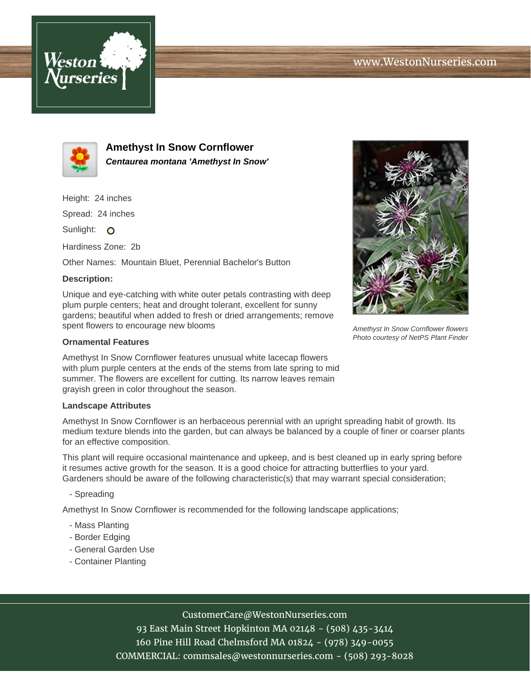



**Amethyst In Snow Cornflower Centaurea montana 'Amethyst In Snow'**

Height: 24 inches

Spread: 24 inches

Sunlight: O

Hardiness Zone: 2b

Other Names: Mountain Bluet, Perennial Bachelor's Button

## **Description:**

Unique and eye-catching with white outer petals contrasting with deep plum purple centers; heat and drought tolerant, excellent for sunny gardens; beautiful when added to fresh or dried arrangements; remove spent flowers to encourage new blooms

## **Ornamental Features**

Amethyst In Snow Cornflower features unusual white lacecap flowers with plum purple centers at the ends of the stems from late spring to mid summer. The flowers are excellent for cutting. Its narrow leaves remain grayish green in color throughout the season.

## **Landscape Attributes**

Amethyst In Snow Cornflower is an herbaceous perennial with an upright spreading habit of growth. Its medium texture blends into the garden, but can always be balanced by a couple of finer or coarser plants for an effective composition.

This plant will require occasional maintenance and upkeep, and is best cleaned up in early spring before it resumes active growth for the season. It is a good choice for attracting butterflies to your yard. Gardeners should be aware of the following characteristic(s) that may warrant special consideration;

- Spreading

Amethyst In Snow Cornflower is recommended for the following landscape applications;

- Mass Planting
- Border Edging
- General Garden Use
- Container Planting



CustomerCare@WestonNurseries.com

93 East Main Street Hopkinton MA 02148 - (508) 435-3414 160 Pine Hill Road Chelmsford MA 01824 - (978) 349-0055 COMMERCIAL: commsales@westonnurseries.com - (508) 293-8028